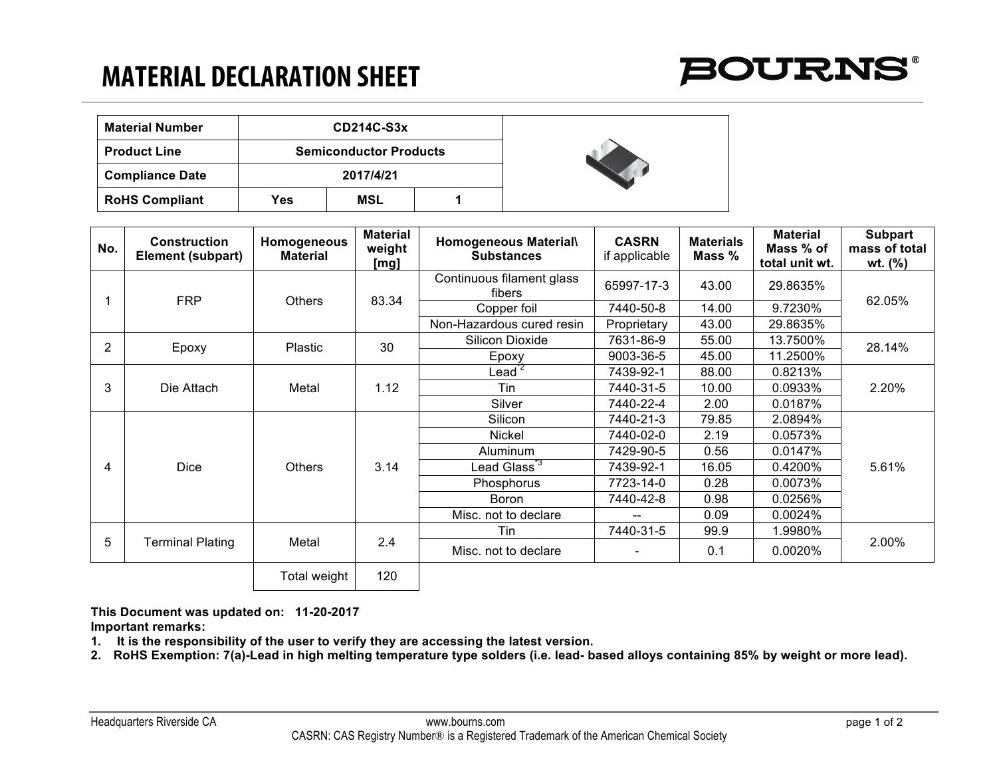## **MATERIAL DECLARATION SHEET**



| <b>Material Number</b> | CD214C-S3x                    |     |  |  |  |
|------------------------|-------------------------------|-----|--|--|--|
| <b>Product Line</b>    | <b>Semiconductor Products</b> |     |  |  |  |
| <b>Compliance Date</b> | 2017/4/21                     |     |  |  |  |
| <b>RoHS Compliant</b>  | Yes                           | MSL |  |  |  |

| No.            | <b>Construction</b><br>Element (subpart) | Homogeneous<br><b>Material</b> | <b>Material</b><br>weight<br>[mg] | Homogeneous Material\<br><b>Substances</b> | <b>CASRN</b><br>if applicable | <b>Materials</b><br>Mass % | <b>Material</b><br>Mass % of<br>total unit wt. | Subpart<br>mass of total<br>wt. $(%)$ |
|----------------|------------------------------------------|--------------------------------|-----------------------------------|--------------------------------------------|-------------------------------|----------------------------|------------------------------------------------|---------------------------------------|
|                | <b>FRP</b>                               | <b>Others</b>                  | 83.34                             | Continuous filament glass<br>fibers        | 65997-17-3                    | 43.00                      | 29.8635%                                       | 62.05%                                |
|                |                                          |                                |                                   | Copper foil                                | 7440-50-8                     | 14.00                      | 9.7230%                                        |                                       |
|                |                                          |                                |                                   | Non-Hazardous cured resin                  | Proprietary                   | 43.00                      | 29.8635%                                       |                                       |
| $\overline{2}$ | Epoxy                                    | <b>Plastic</b>                 | 30                                | Silicon Dioxide                            | 7631-86-9                     | 55.00                      | 13.7500%                                       | 28.14%                                |
|                |                                          |                                |                                   | Epoxy                                      | 9003-36-5                     | 45.00                      | 11.2500%                                       |                                       |
| 3              | Die Attach                               | Metal                          | 1.12                              | $\text{lead}^{\mathsf{r2}}$                | 7439-92-1                     | 88.00                      | 0.8213%                                        | 2.20%                                 |
|                |                                          |                                |                                   | Tin                                        | 7440-31-5                     | 10.00                      | 0.0933%                                        |                                       |
|                |                                          |                                |                                   | Silver                                     | 7440-22-4                     | 2.00                       | 0.0187%                                        |                                       |
| 4              | <b>Dice</b>                              | <b>Others</b>                  | 3.14                              | Silicon                                    | 7440-21-3                     | 79.85                      | 2.0894%                                        | 5.61%                                 |
|                |                                          |                                |                                   | Nickel                                     | 7440-02-0                     | 2.19                       | 0.0573%                                        |                                       |
|                |                                          |                                |                                   | Aluminum                                   | 7429-90-5                     | 0.56                       | 0.0147%                                        |                                       |
|                |                                          |                                |                                   | Lead Glass $^{\tilde{\texttt{3}}}$         | 7439-92-1                     | 16.05                      | 0.4200%                                        |                                       |
|                |                                          |                                |                                   | Phosphorus                                 | 7723-14-0                     | 0.28                       | 0.0073%                                        |                                       |
|                |                                          |                                |                                   | <b>Boron</b>                               | 7440-42-8                     | 0.98                       | 0.0256%                                        |                                       |
|                |                                          |                                |                                   | Misc. not to declare                       | $-$                           | 0.09                       | 0.0024%                                        |                                       |
| 5              | <b>Terminal Plating</b>                  | Metal                          | 2.4                               | Tin                                        | 7440-31-5                     | 99.9                       | 1.9980%                                        | 2.00%                                 |
|                |                                          |                                |                                   | Misc. not to declare                       | $\overline{\phantom{a}}$      | 0.1                        | 0.0020%                                        |                                       |
|                |                                          | Total weight                   | 120                               |                                            |                               |                            |                                                |                                       |

**This Document was updated on: 11-20-2017**

**Important remarks:**

- **1. It is the responsibility of the user to verify they are accessing the latest version.**
- **2. RoHS Exemption: 7(a)-Lead in high melting temperature type solders (i.e. lead- based alloys containing 85% by weight or more lead).**